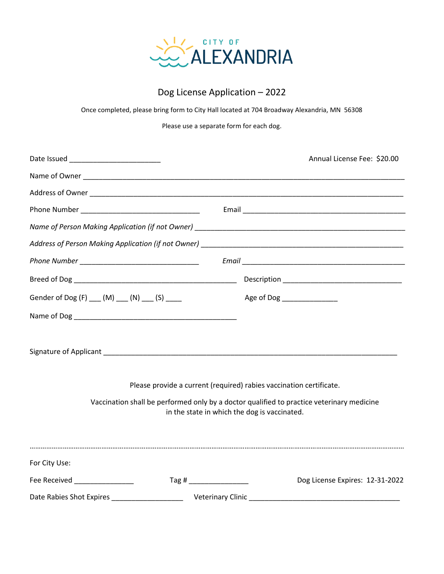

## Dog License Application – 2022

Once completed, please bring form to City Hall located at 704 Broadway Alexandria, MN 56308

Please use a separate form for each dog.

|                                                                                                                                           | Annual License Fee: \$20.00             |
|-------------------------------------------------------------------------------------------------------------------------------------------|-----------------------------------------|
|                                                                                                                                           |                                         |
|                                                                                                                                           |                                         |
|                                                                                                                                           |                                         |
|                                                                                                                                           |                                         |
|                                                                                                                                           |                                         |
|                                                                                                                                           |                                         |
|                                                                                                                                           |                                         |
| Gender of Dog (F) ___ (M) ___ (N) ___ (S) ____                                                                                            | Age of Dog __________________           |
|                                                                                                                                           |                                         |
|                                                                                                                                           |                                         |
| Please provide a current (required) rabies vaccination certificate.                                                                       |                                         |
| Vaccination shall be performed only by a doctor qualified to practice veterinary medicine<br>in the state in which the dog is vaccinated. |                                         |
|                                                                                                                                           |                                         |
| For City Use:                                                                                                                             |                                         |
| Fee Received <b>Example 20</b>                                                                                                            | Tag#<br>Dog License Expires: 12-31-2022 |
|                                                                                                                                           |                                         |